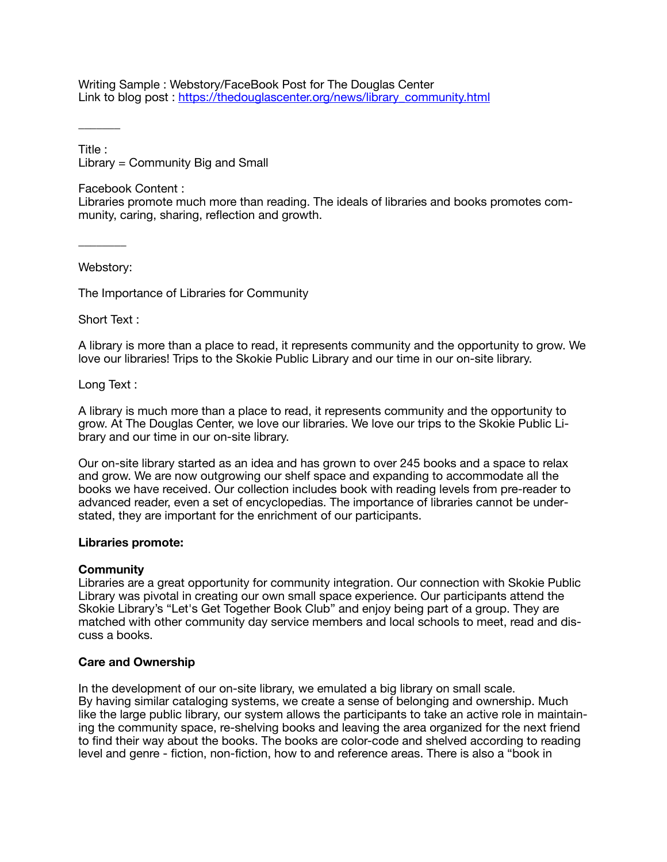Writing Sample : Webstory/FaceBook Post for The Douglas Center Link to blog post : [https://thedouglascenter.org/news/library\\_community.html](https://thedouglascenter.org/news/library_community.html)

Title : Library = Community Big and Small

Facebook Content :

Libraries promote much more than reading. The ideals of libraries and books promotes community, caring, sharing, reflection and growth.

Webstory:

 $\overline{\phantom{a}}$ 

\_\_\_\_\_\_\_

The Importance of Libraries for Community

Short Text :

A library is more than a place to read, it represents community and the opportunity to grow. We love our libraries! Trips to the Skokie Public Library and our time in our on-site library.

Long Text :

A library is much more than a place to read, it represents community and the opportunity to grow. At The Douglas Center, we love our libraries. We love our trips to the Skokie Public Library and our time in our on-site library.

Our on-site library started as an idea and has grown to over 245 books and a space to relax and grow. We are now outgrowing our shelf space and expanding to accommodate all the books we have received. Our collection includes book with reading levels from pre-reader to advanced reader, even a set of encyclopedias. The importance of libraries cannot be understated, they are important for the enrichment of our participants.

# **Libraries promote:**

# **Community**

Libraries are a great opportunity for community integration. Our connection with Skokie Public Library was pivotal in creating our own small space experience. Our participants attend the Skokie Library's "Let's Get Together Book Club" and enjoy being part of a group. They are matched with other community day service members and local schools to meet, read and discuss a books.

# **Care and Ownership**

In the development of our on-site library, we emulated a big library on small scale. By having similar cataloging systems, we create a sense of belonging and ownership. Much like the large public library, our system allows the participants to take an active role in maintaining the community space, re-shelving books and leaving the area organized for the next friend to find their way about the books. The books are color-code and shelved according to reading level and genre - fiction, non-fiction, how to and reference areas. There is also a "book in